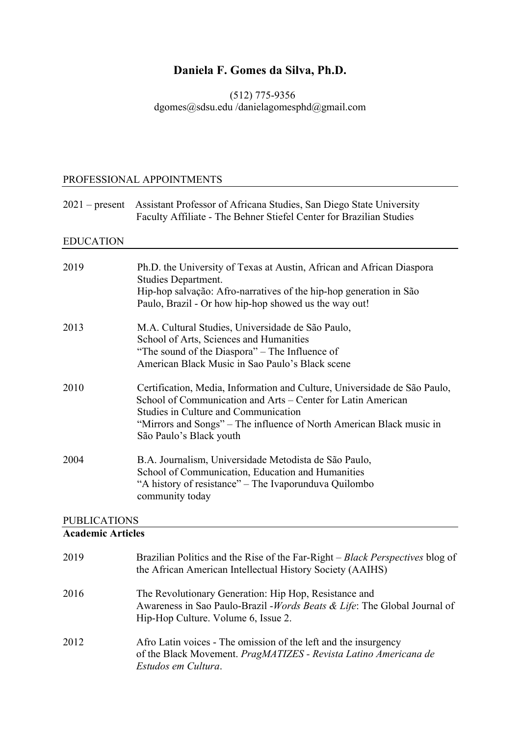# **Daniela F. Gomes da Silva, Ph.D.**

(512) 775-9356 dgomes@sdsu.edu /danielagomesphd@gmail.com

## PROFESSIONAL APPOINTMENTS

| $2021$ – present | Assistant Professor of Africana Studies, San Diego State University<br>Faculty Affiliate - The Behner Stiefel Center for Brazilian Studies                                                                                                                                           |
|------------------|--------------------------------------------------------------------------------------------------------------------------------------------------------------------------------------------------------------------------------------------------------------------------------------|
| <b>EDUCATION</b> |                                                                                                                                                                                                                                                                                      |
| 2019             | Ph.D. the University of Texas at Austin, African and African Diaspora<br><b>Studies Department.</b><br>Hip-hop salvação: Afro-narratives of the hip-hop generation in São<br>Paulo, Brazil - Or how hip-hop showed us the way out!                                                   |
| 2013             | M.A. Cultural Studies, Universidade de São Paulo,<br>School of Arts, Sciences and Humanities<br>"The sound of the Diaspora" – The Influence of<br>American Black Music in Sao Paulo's Black scene                                                                                    |
| 2010             | Certification, Media, Information and Culture, Universidade de São Paulo,<br>School of Communication and Arts – Center for Latin American<br>Studies in Culture and Communication<br>"Mirrors and Songs" - The influence of North American Black music in<br>São Paulo's Black youth |
| 2004             | B.A. Journalism, Universidade Metodista de São Paulo,<br>School of Communication, Education and Humanities<br>"A history of resistance" – The Ivaporunduva Quilombo<br>community today                                                                                               |

## PUBLICATIONS

# **Academic Articles**

| 2019 | Brazilian Politics and the Rise of the Far-Right – <i>Black Perspectives</i> blog of<br>the African American Intellectual History Society (AAIHS)                         |
|------|---------------------------------------------------------------------------------------------------------------------------------------------------------------------------|
| 2016 | The Revolutionary Generation: Hip Hop, Resistance and<br>Awareness in Sao Paulo-Brazil - Words Beats & Life: The Global Journal of<br>Hip-Hop Culture. Volume 6, Issue 2. |
| 2012 | Afro Latin voices - The omission of the left and the insurgency<br>of the Black Movement. PragMATIZES - Revista Latino Americana de<br>Estudos em Cultura.                |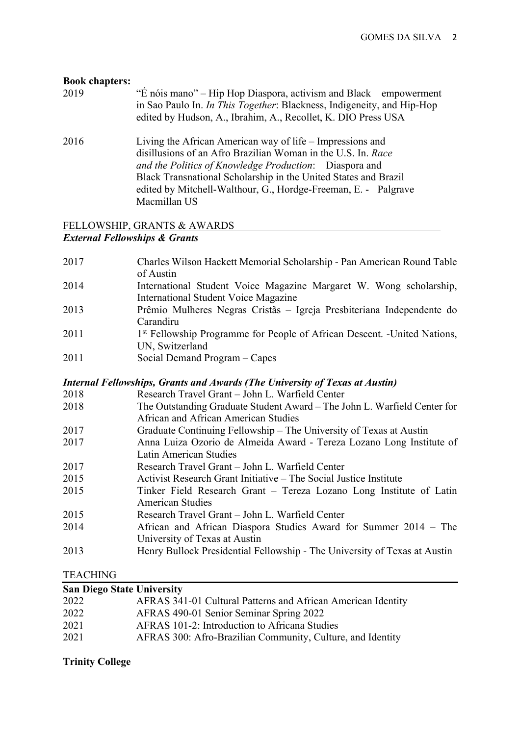| <b>Book chapters:</b><br>2019 | "É nóis mano" – Hip Hop Diaspora, activism and Black empowerment<br>in Sao Paulo In. <i>In This Together</i> : Blackness, Indigeneity, and Hip-Hop<br>edited by Hudson, A., Ibrahim, A., Recollet, K. DIO Press USA                                                                                                                      |
|-------------------------------|------------------------------------------------------------------------------------------------------------------------------------------------------------------------------------------------------------------------------------------------------------------------------------------------------------------------------------------|
| 2016                          | Living the African American way of life – Impressions and<br>disillusions of an Afro Brazilian Woman in the U.S. In. Race<br>and the Politics of Knowledge Production: Diaspora and<br>Black Transnational Scholarship in the United States and Brazil<br>edited by Mitchell-Walthour, G., Hordge-Freeman, E. - Palgrave<br>Macmillan US |

## FELLOWSHIP, GRANTS & AWARDS *External Fellowships & Grants*

| 2017 | Charles Wilson Hackett Memorial Scholarship - Pan American Round Table<br>of Austin  |
|------|--------------------------------------------------------------------------------------|
| 2014 | International Student Voice Magazine Margaret W. Wong scholarship,                   |
|      | <b>International Student Voice Magazine</b>                                          |
| 2013 | Prêmio Mulheres Negras Cristãs – Igreja Presbiteriana Independente do                |
|      | Carandiru                                                                            |
| 2011 | 1 <sup>st</sup> Fellowship Programme for People of African Descent. -United Nations, |
|      | UN, Switzerland                                                                      |
| 2011 | Social Demand Program - Capes                                                        |
|      | Internal Fellowships, Grants and Awards (The University of Texas at Austin)          |
| 2018 | Research Travel Grant - John L. Warfield Center                                      |
| 2018 | The Outstanding Graduate Student Award - The John L. Warfield Center for             |
|      | African and African American Studies                                                 |
| 2017 | Graduate Continuing Fellowship - The University of Texas at Austin                   |
| 2017 | Anna Luiza Ozorio de Almeida Award - Tereza Lozano Long Institute of                 |
|      | Latin American Studies                                                               |
| 2017 | Research Travel Grant - John L. Warfield Center                                      |
| 2015 | Activist Research Grant Initiative – The Social Justice Institute                    |
| 2015 | Tinker Field Research Grant – Tereza Lozano Long Institute of Latin                  |
|      | <b>American Studies</b>                                                              |
| 2015 | Research Travel Grant - John L. Warfield Center                                      |
| 2014 | African and African Diaspora Studies Award for Summer 2014 – The                     |
|      | University of Texas at Austin                                                        |
| 2013 | Henry Bullock Presidential Fellowship - The University of Texas at Austin            |
|      |                                                                                      |

# TEACHING

| <b>San Diego State University</b> |                                                              |
|-----------------------------------|--------------------------------------------------------------|
| 2022                              | AFRAS 341-01 Cultural Patterns and African American Identity |
| 2022                              | AFRAS 490-01 Senior Seminar Spring 2022                      |
| 2021                              | AFRAS 101-2: Introduction to Africana Studies                |
| 2021                              | AFRAS 300: Afro-Brazilian Community, Culture, and Identity   |
|                                   |                                                              |

# **Trinity College**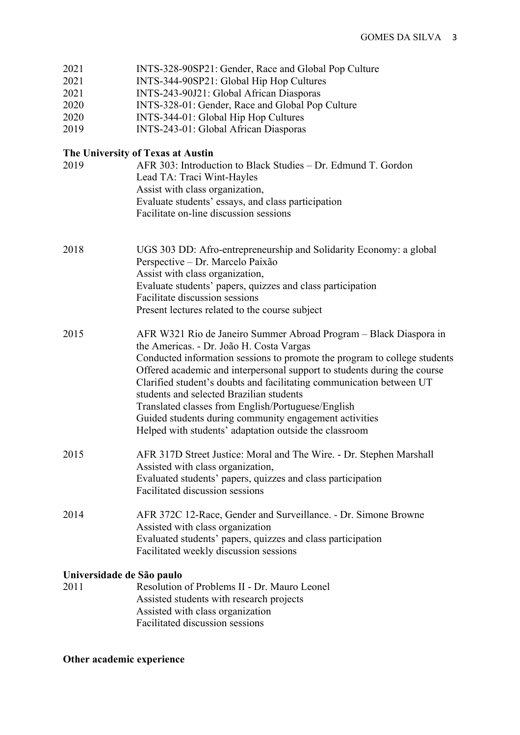| 2021<br>2021<br>2021<br>2020<br>2020<br>2019 | INTS-328-90SP21: Gender, Race and Global Pop Culture<br>INTS-344-90SP21: Global Hip Hop Cultures<br>INTS-243-90J21: Global African Diasporas<br>INTS-328-01: Gender, Race and Global Pop Culture<br>INTS-344-01: Global Hip Hop Cultures<br>INTS-243-01: Global African Diasporas                                                                                                                                                                                                                                                                                    |
|----------------------------------------------|----------------------------------------------------------------------------------------------------------------------------------------------------------------------------------------------------------------------------------------------------------------------------------------------------------------------------------------------------------------------------------------------------------------------------------------------------------------------------------------------------------------------------------------------------------------------|
|                                              | The University of Texas at Austin                                                                                                                                                                                                                                                                                                                                                                                                                                                                                                                                    |
| 2019                                         | AFR 303: Introduction to Black Studies – Dr. Edmund T. Gordon<br>Lead TA: Traci Wint-Hayles<br>Assist with class organization,<br>Evaluate students' essays, and class participation<br>Facilitate on-line discussion sessions                                                                                                                                                                                                                                                                                                                                       |
| 2018                                         | UGS 303 DD: Afro-entrepreneurship and Solidarity Economy: a global<br>Perspective - Dr. Marcelo Paixão<br>Assist with class organization,<br>Evaluate students' papers, quizzes and class participation<br>Facilitate discussion sessions<br>Present lectures related to the course subject                                                                                                                                                                                                                                                                          |
| 2015                                         | AFR W321 Rio de Janeiro Summer Abroad Program – Black Diaspora in<br>the Americas. - Dr. João H. Costa Vargas<br>Conducted information sessions to promote the program to college students<br>Offered academic and interpersonal support to students during the course<br>Clarified student's doubts and facilitating communication between UT<br>students and selected Brazilian students<br>Translated classes from English/Portuguese/English<br>Guided students during community engagement activities<br>Helped with students' adaptation outside the classroom |
| 2015                                         | AFR 317D Street Justice: Moral and The Wire. - Dr. Stephen Marshall<br>Assisted with class organization,<br>Evaluated students' papers, quizzes and class participation<br>Facilitated discussion sessions                                                                                                                                                                                                                                                                                                                                                           |
| 2014                                         | AFR 372C 12-Race, Gender and Surveillance. - Dr. Simone Browne<br>Assisted with class organization<br>Evaluated students' papers, quizzes and class participation<br>Facilitated weekly discussion sessions                                                                                                                                                                                                                                                                                                                                                          |
| Universidade de São paulo                    |                                                                                                                                                                                                                                                                                                                                                                                                                                                                                                                                                                      |
| 2011                                         | Resolution of Problems II - Dr. Mauro Leonel<br>Assisted students with research projects                                                                                                                                                                                                                                                                                                                                                                                                                                                                             |

 Assisted with class organization Facilitated discussion sessions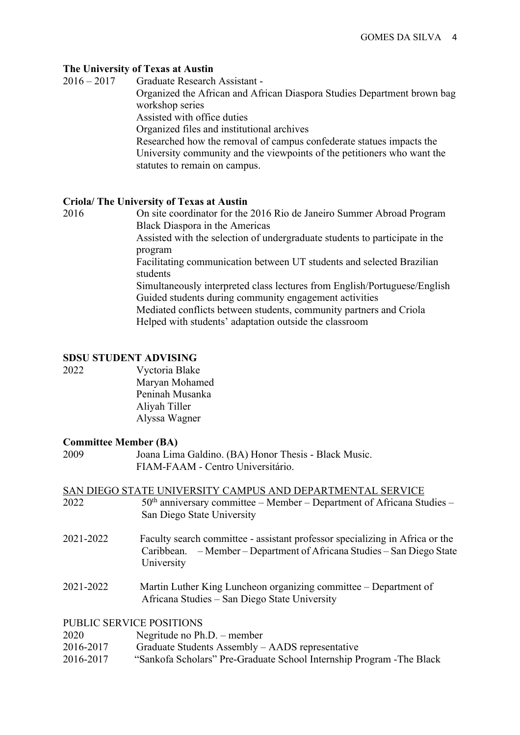### **The University of Texas at Austin**

2016 – 2017Graduate Research Assistant -

 Organized the African and African Diaspora Studies Department brown bag workshop series

Assisted with office duties

Organized files and institutional archives

 Researched how the removal of campus confederate statues impacts the University community and the viewpoints of the petitioners who want the statutes to remain on campus.

### **Criola/ The University of Texas at Austin**

2016On site coordinator for the 2016 Rio de Janeiro Summer Abroad Program Black Diaspora in the Americas

 Assisted with the selection of undergraduate students to participate in the program

 Facilitating communication between UT students and selected Brazilian students

 Simultaneously interpreted class lectures from English/Portuguese/English Guided students during community engagement activities

 Mediated conflicts between students, community partners and Criola Helped with students' adaptation outside the classroom

### **SDSU STUDENT ADVISING**

2022 Vyctoria Blake Maryan Mohamed Peninah Musanka Aliyah Tiller Alyssa Wagner

### **Committee Member (BA)**

| 2009      | Joana Lima Galdino. (BA) Honor Thesis - Black Music.<br>FIAM-FAAM - Centro Universitário.                                                                            |
|-----------|----------------------------------------------------------------------------------------------------------------------------------------------------------------------|
| 2022      | SAN DIEGO STATE UNIVERSITY CAMPUS AND DEPARTMENTAL SERVICE<br>$50th$ anniversary committee – Member – Department of Africana Studies –                               |
|           | San Diego State University                                                                                                                                           |
| 2021-2022 | Faculty search committee - assistant professor specializing in Africa or the<br>Caribbean. – Member – Department of Africana Studies – San Diego State<br>University |
| 2021-2022 | Martin Luther King Luncheon organizing committee – Department of<br>Africana Studies – San Diego State University                                                    |
|           | <b>PUBLIC SERVICE POSITIONS</b>                                                                                                                                      |
| 2020      | Negritude no $Ph.D.$ – member                                                                                                                                        |
| 2016-2017 | Graduate Students Assembly – AADS representative                                                                                                                     |

2016-2017 "Sankofa Scholars" Pre-Graduate School Internship Program -The Black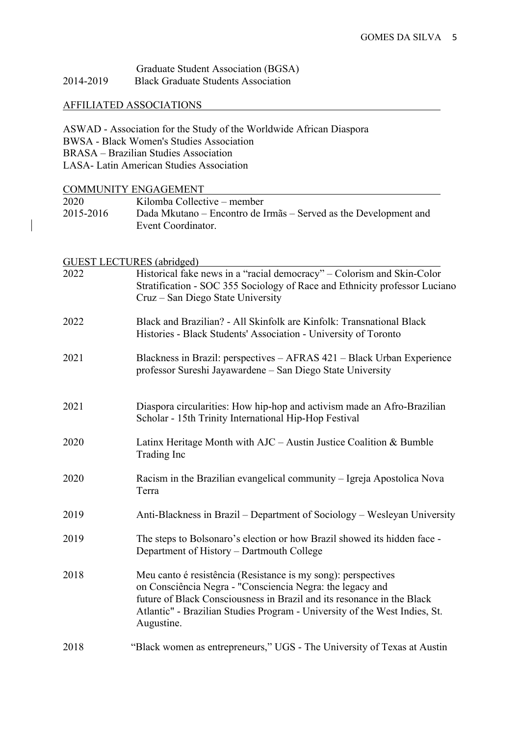|           | Graduate Student Association (BGSA)        |
|-----------|--------------------------------------------|
| 2014-2019 | <b>Black Graduate Students Association</b> |

## AFFILIATED ASSOCIATIONS

ASWAD - Association for the Study of the Worldwide African Diaspora BWSA - Black Women's Studies Association BRASA – Brazilian Studies Association LASA- Latin American Studies Association

| <b>COMMUNITY ENGAGEMENT</b>      |                                                                            |  |
|----------------------------------|----------------------------------------------------------------------------|--|
| 2020                             | Kilomba Collective - member                                                |  |
| 2015-2016                        | Dada Mkutano - Encontro de Irmãs - Served as the Development and           |  |
|                                  | Event Coordinator.                                                         |  |
|                                  |                                                                            |  |
| <b>GUEST LECTURES</b> (abridged) |                                                                            |  |
| 2022                             | Historical fake news in a "racial democracy" - Colorism and Skin-Color     |  |
|                                  | Stratification - SOC 355 Sociology of Race and Ethnicity professor Luciano |  |
|                                  | Cruz – San Diego State University                                          |  |
|                                  |                                                                            |  |
| 2022                             | Black and Brazilian? - All Skinfolk are Kinfolk: Transnational Black       |  |
|                                  | Histories - Black Students' Association - University of Toronto            |  |
| 2021                             | Blackness in Brazil: perspectives – AFRAS 421 – Black Urban Experience     |  |
|                                  | professor Sureshi Jayawardene – San Diego State University                 |  |
|                                  |                                                                            |  |
| 2021                             | Diaspora circularities: How hip-hop and activism made an Afro-Brazilian    |  |
|                                  | Scholar - 15th Trinity International Hip-Hop Festival                      |  |
|                                  |                                                                            |  |
| 2020                             | Latinx Heritage Month with $AJC - Austin$ Justice Coalition & Bumble       |  |
|                                  | Trading Inc                                                                |  |
| 2020                             | Racism in the Brazilian evangelical community – Igreja Apostolica Nova     |  |
|                                  | Terra                                                                      |  |
|                                  |                                                                            |  |
| 2019                             | Anti-Blackness in Brazil – Department of Sociology – Wesleyan University   |  |
|                                  |                                                                            |  |
| 2019                             | The steps to Bolsonaro's election or how Brazil showed its hidden face -   |  |
|                                  | Department of History – Dartmouth College                                  |  |
| 2018                             | Meu canto é resistência (Resistance is my song): perspectives              |  |
|                                  | on Consciência Negra - "Consciencia Negra: the legacy and                  |  |
|                                  | future of Black Consciousness in Brazil and its resonance in the Black     |  |
|                                  | Atlantic" - Brazilian Studies Program - University of the West Indies, St. |  |
|                                  | Augustine.                                                                 |  |
| 2018                             | "Black women as entrepreneurs," UGS - The University of Texas at Austin    |  |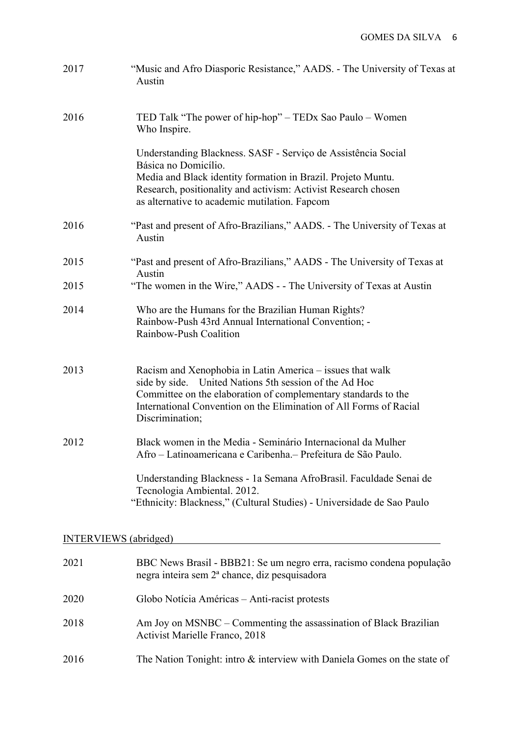| 2017                         | "Music and Afro Diasporic Resistance," AADS. - The University of Texas at<br>Austin                                                                                                                                                                                            |  |
|------------------------------|--------------------------------------------------------------------------------------------------------------------------------------------------------------------------------------------------------------------------------------------------------------------------------|--|
| 2016                         | TED Talk "The power of hip-hop" - TEDx Sao Paulo - Women<br>Who Inspire.                                                                                                                                                                                                       |  |
|                              | Understanding Blackness. SASF - Serviço de Assistência Social<br>Básica no Domicílio.<br>Media and Black identity formation in Brazil. Projeto Muntu.<br>Research, positionality and activism: Activist Research chosen<br>as alternative to academic mutilation. Fapcom       |  |
| 2016                         | "Past and present of Afro-Brazilians," AADS. - The University of Texas at<br>Austin                                                                                                                                                                                            |  |
| 2015                         | "Past and present of Afro-Brazilians," AADS - The University of Texas at<br>Austin                                                                                                                                                                                             |  |
| 2015                         | "The women in the Wire," AADS - - The University of Texas at Austin                                                                                                                                                                                                            |  |
| 2014                         | Who are the Humans for the Brazilian Human Rights?<br>Rainbow-Push 43rd Annual International Convention; -<br>Rainbow-Push Coalition                                                                                                                                           |  |
| 2013                         | Racism and Xenophobia in Latin America – issues that walk<br>side by side. United Nations 5th session of the Ad Hoc<br>Committee on the elaboration of complementary standards to the<br>International Convention on the Elimination of All Forms of Racial<br>Discrimination; |  |
| 2012                         | Black women in the Media - Seminário Internacional da Mulher<br>Afro – Latinoamericana e Caribenha.– Prefeitura de São Paulo                                                                                                                                                   |  |
|                              | Understanding Blackness - 1a Semana AfroBrasil. Faculdade Senai de<br>Tecnologia Ambiental. 2012.<br>"Ethnicity: Blackness," (Cultural Studies) - Universidade de Sao Paulo                                                                                                    |  |
| <b>INTERVIEWS</b> (abridged) |                                                                                                                                                                                                                                                                                |  |
| 2021                         | BBC News Brasil - BBB21: Se um negro erra, racismo condena população<br>negra inteira sem 2ª chance, diz pesquisadora                                                                                                                                                          |  |
| 2020                         | Globo Notícia Américas – Anti-racist protests                                                                                                                                                                                                                                  |  |
| 2018                         | Am Joy on MSNBC – Commenting the assassination of Black Brazilian<br><b>Activist Marielle Franco, 2018</b>                                                                                                                                                                     |  |
| 2016                         | The Nation Tonight: intro & interview with Daniela Gomes on the state of                                                                                                                                                                                                       |  |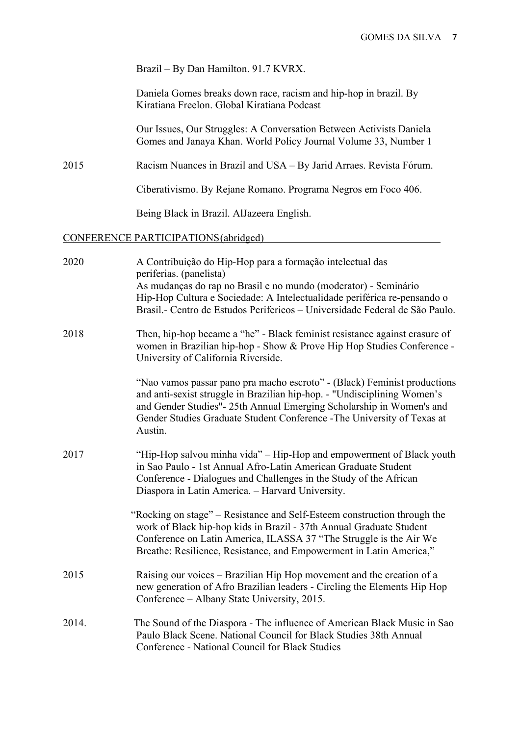#### Brazil – By Dan Hamilton. 91.7 KVRX.

 Daniela Gomes breaks down race, racism and hip-hop in brazil. By Kiratiana Freelon. Global Kiratiana Podcast

 Our Issues, Our Struggles: A Conversation Between Activists Daniela Gomes and Janaya Khan. World Policy Journal Volume 33, Number 1

2015 Racism Nuances in Brazil and USA – By Jarid Arraes. Revista Fórum.

Ciberativismo. By Rejane Romano. Programa Negros em Foco 406.

Being Black in Brazil. AlJazeera English.

#### CONFERENCE PARTICIPATIONS(abridged)

| 2020  | A Contribuição do Hip-Hop para a formação intelectual das<br>periferias. (panelista)<br>As mudanças do rap no Brasil e no mundo (moderator) - Seminário                                                                                                                                                            |
|-------|--------------------------------------------------------------------------------------------------------------------------------------------------------------------------------------------------------------------------------------------------------------------------------------------------------------------|
|       | Hip-Hop Cultura e Sociedade: A Intelectualidade periférica re-pensando o<br>Brasil.- Centro de Estudos Perifericos - Universidade Federal de São Paulo.                                                                                                                                                            |
| 2018  | Then, hip-hop became a "he" - Black feminist resistance against erasure of<br>women in Brazilian hip-hop - Show & Prove Hip Hop Studies Conference -<br>University of California Riverside.                                                                                                                        |
|       | "Nao vamos passar pano pra macho escroto" - (Black) Feminist productions<br>and anti-sexist struggle in Brazilian hip-hop. - "Undisciplining Women's<br>and Gender Studies"- 25th Annual Emerging Scholarship in Women's and<br>Gender Studies Graduate Student Conference - The University of Texas at<br>Austin. |
| 2017  | "Hip-Hop salvou minha vida" – Hip-Hop and empowerment of Black youth<br>in Sao Paulo - 1st Annual Afro-Latin American Graduate Student<br>Conference - Dialogues and Challenges in the Study of the African<br>Diaspora in Latin America. - Harvard University.                                                    |
|       | "Rocking on stage" – Resistance and Self-Esteem construction through the<br>work of Black hip-hop kids in Brazil - 37th Annual Graduate Student<br>Conference on Latin America, ILASSA 37 "The Struggle is the Air We<br>Breathe: Resilience, Resistance, and Empowerment in Latin America,"                       |
| 2015  | Raising our voices - Brazilian Hip Hop movement and the creation of a<br>new generation of Afro Brazilian leaders - Circling the Elements Hip Hop<br>Conference – Albany State University, 2015.                                                                                                                   |
| 2014. | The Sound of the Diaspora - The influence of American Black Music in Sao<br>Paulo Black Scene. National Council for Black Studies 38th Annual<br>Conference - National Council for Black Studies                                                                                                                   |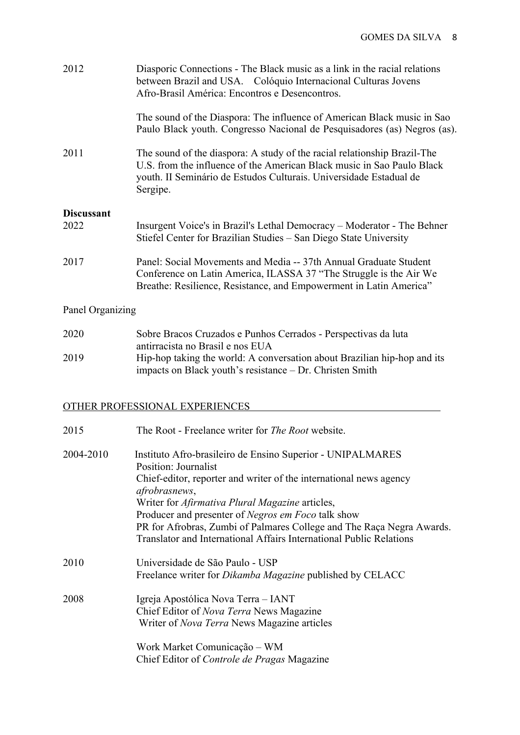| 2012              | Diasporic Connections - The Black music as a link in the racial relations<br>between Brazil and USA. Colóquio Internacional Culturas Jovens<br>Afro-Brasil América: Encontros e Desencontros.                                        |
|-------------------|--------------------------------------------------------------------------------------------------------------------------------------------------------------------------------------------------------------------------------------|
|                   | The sound of the Diaspora: The influence of American Black music in Sao<br>Paulo Black youth. Congresso Nacional de Pesquisadores (as) Negros (as).                                                                                  |
| 2011              | The sound of the diaspora: A study of the racial relationship Brazil-The<br>U.S. from the influence of the American Black music in Sao Paulo Black<br>youth. II Seminário de Estudos Culturais. Universidade Estadual de<br>Sergipe. |
| <b>Discussant</b> |                                                                                                                                                                                                                                      |
| 2022              | Insurgent Voice's in Brazil's Lethal Democracy – Moderator - The Behner<br>Stiefel Center for Brazilian Studies – San Diego State University                                                                                         |
| 2017              | Panel: Social Movements and Media -- 37th Annual Graduate Student<br>Conference on Latin America, ILASSA 37 "The Struggle is the Air We<br>Breathe: Resilience, Resistance, and Empowerment in Latin America"                        |

# Panel Organizing

| 2020 | Sobre Bracos Cruzados e Punhos Cerrados - Perspectivas da luta                                                                       |
|------|--------------------------------------------------------------------------------------------------------------------------------------|
|      | antirracista no Brasil e nos EUA                                                                                                     |
| 2019 | Hip-hop taking the world: A conversation about Brazilian hip-hop and its<br>impacts on Black youth's resistance – Dr. Christen Smith |

# OTHER PROFESSIONAL EXPERIENCES

| 2015      | The Root - Freelance writer for <i>The Root</i> website.                                                                                                                                                                            |
|-----------|-------------------------------------------------------------------------------------------------------------------------------------------------------------------------------------------------------------------------------------|
| 2004-2010 | Instituto Afro-brasileiro de Ensino Superior - UNIPALMARES<br>Position: Journalist<br>Chief-editor, reporter and writer of the international news agency<br>afrobrasnews,<br>Writer for <i>Afirmativa Plural Magazine</i> articles, |
|           | Producer and presenter of <i>Negros em Foco</i> talk show                                                                                                                                                                           |
|           | PR for Afrobras, Zumbi of Palmares College and The Raça Negra Awards.<br>Translator and International Affairs International Public Relations                                                                                        |
| 2010      | Universidade de São Paulo - USP<br>Freelance writer for <i>Dikamba Magazine</i> published by CELACC                                                                                                                                 |
| 2008      | Igreja Apostólica Nova Terra – IANT<br>Chief Editor of Nova Terra News Magazine<br>Writer of Nova Terra News Magazine articles                                                                                                      |
|           | Work Market Comunicação - WM<br>Chief Editor of Controle de Pragas Magazine                                                                                                                                                         |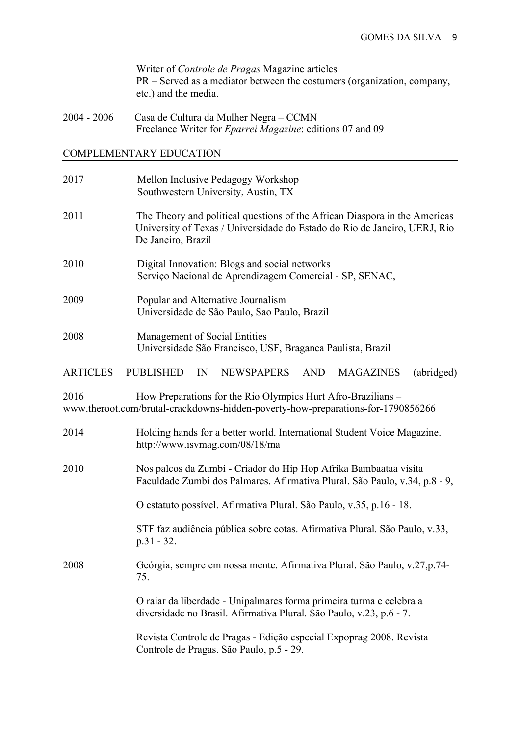Writer of *Controle de Pragas* Magazine articles PR – Served as a mediator between the costumers (organization, company, etc.) and the media.

2004 - 2006 Casa de Cultura da Mulher Negra – CCMN Freelance Writer for *Eparrei Magazine*: editions 07 and 09

### COMPLEMENTARY EDUCATION

| 2017 | Mellon Inclusive Pedagogy Workshop<br>Southwestern University, Austin, TX                                                                                                     |
|------|-------------------------------------------------------------------------------------------------------------------------------------------------------------------------------|
| 2011 | The Theory and political questions of the African Diaspora in the Americas<br>University of Texas / Universidade do Estado do Rio de Janeiro, UERJ, Rio<br>De Janeiro, Brazil |
| 2010 | Digital Innovation: Blogs and social networks<br>Serviço Nacional de Aprendizagem Comercial - SP, SENAC,                                                                      |
| 2009 | Popular and Alternative Journalism<br>Universidade de São Paulo, Sao Paulo, Brazil                                                                                            |
| 2008 | Management of Social Entities<br>Universidade São Francisco, USF, Braganca Paulista, Brazil                                                                                   |

#### ARTICLES PUBLISHED IN NEWSPAPERS AND MAGAZINES (abridged)

2016 How Preparations for the Rio Olympics Hurt Afro-Brazilians – www.theroot.com/brutal-crackdowns-hidden-poverty-how-preparations-for-1790856266

| 2014 | Holding hands for a better world. International Student Voice Magazine.<br>http://www.isvmag.com/08/18/ma                                      |
|------|------------------------------------------------------------------------------------------------------------------------------------------------|
| 2010 | Nos palcos da Zumbi - Criador do Hip Hop Afrika Bambaataa visita<br>Faculdade Zumbi dos Palmares. Afirmativa Plural. São Paulo, v.34, p.8 - 9, |
|      | O estatuto possível. Afirmativa Plural. São Paulo, v.35, p.16 - 18.                                                                            |
|      | STF faz audiência pública sobre cotas. Afirmativa Plural. São Paulo, v.33,<br>$p.31 - 32.$                                                     |
| 2008 | Geórgia, sempre em nossa mente. Afirmativa Plural. São Paulo, v.27,p.74-<br>75.                                                                |
|      | O raiar da liberdade - Unipalmares forma primeira turma e celebra a<br>diversidade no Brasil. Afirmativa Plural. São Paulo, v.23, p.6 - 7.     |
|      | Revista Controle de Pragas - Edição especial Expoprag 2008. Revista<br>Controle de Pragas. São Paulo, p.5 - 29.                                |